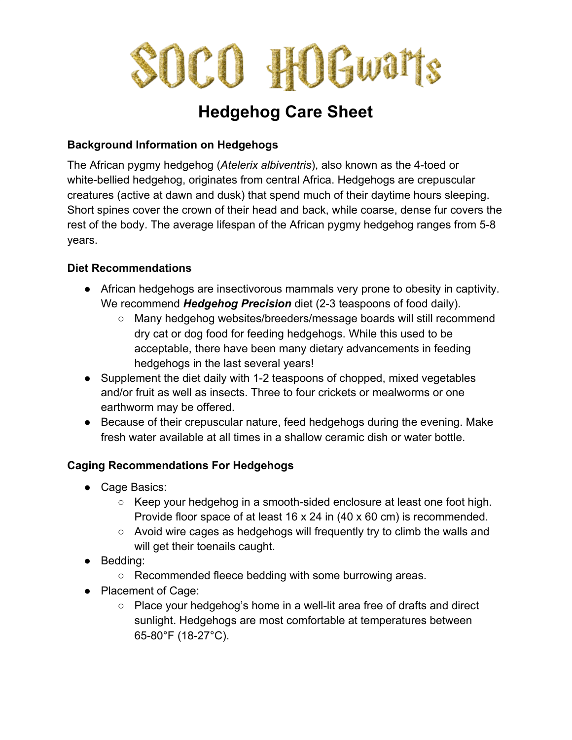

# **Hedgehog Care Sheet**

## **Background Information on Hedgehogs**

The African pygmy hedgehog (*Atelerix albiventris*), also known as the 4-toed or white-bellied hedgehog, originates from central Africa. Hedgehogs are crepuscular creatures (active at dawn and dusk) that spend much of their daytime hours sleeping. Short spines cover the crown of their head and back, while coarse, dense fur covers the rest of the body. The average lifespan of the African pygmy hedgehog ranges from 5-8 years.

### **Diet Recommendations**

- African hedgehogs are insectivorous mammals very prone to obesity in captivity. We recommend *Hedgehog Precision* diet (2-3 teaspoons of food daily).
	- Many hedgehog websites/breeders/message boards will still recommend dry cat or dog food for feeding hedgehogs. While this used to be acceptable, there have been many dietary advancements in feeding hedgehogs in the last several years!
- Supplement the diet daily with 1-2 teaspoons of chopped, mixed vegetables and/or fruit as well as insects. Three to four crickets or mealworms or one earthworm may be offered.
- Because of their crepuscular nature, feed hedgehogs during the evening. Make fresh water available at all times in a shallow ceramic dish or water bottle.

## **Caging Recommendations For Hedgehogs**

- Cage Basics:
	- Keep your hedgehog in a smooth-sided enclosure at least one foot high. Provide floor space of at least 16 x 24 in (40 x 60 cm) is recommended.
	- Avoid wire cages as hedgehogs will frequently try to climb the walls and will get their toenails caught.
- Bedding:
	- Recommended fleece bedding with some burrowing areas.
- Placement of Cage:
	- Place your hedgehog's home in a well-lit area free of drafts and direct sunlight. Hedgehogs are most comfortable at temperatures between 65-80°F (18-27°C).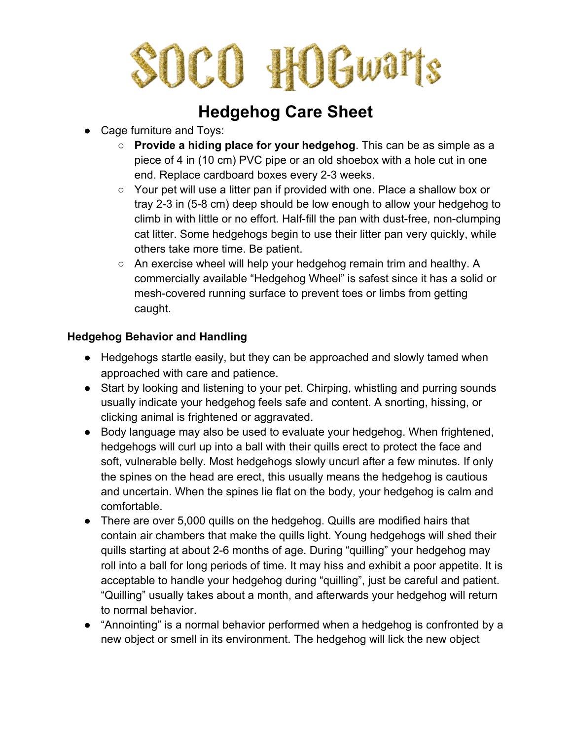# OCO HOGwarts

## **Hedgehog Care Sheet**

- Cage furniture and Tovs:
	- **Provide a hiding place for your hedgehog**. This can be as simple as a piece of 4 in (10 cm) PVC pipe or an old shoebox with a hole cut in one end. Replace cardboard boxes every 2-3 weeks.
	- Your pet will use a litter pan if provided with one. Place a shallow box or tray 2-3 in (5-8 cm) deep should be low enough to allow your hedgehog to climb in with little or no effort. Half-fill the pan with dust-free, non-clumping cat litter. Some hedgehogs begin to use their litter pan very quickly, while others take more time. Be patient.
	- An exercise wheel will help your hedgehog remain trim and healthy. A commercially available "Hedgehog Wheel" is safest since it has a solid or mesh-covered running surface to prevent toes or limbs from getting caught.

## **Hedgehog Behavior and Handling**

- Hedgehogs startle easily, but they can be approached and slowly tamed when approached with care and patience.
- Start by looking and listening to your pet. Chirping, whistling and purring sounds usually indicate your hedgehog feels safe and content. A snorting, hissing, or clicking animal is frightened or aggravated.
- Body language may also be used to evaluate your hedgehog. When frightened, hedgehogs will curl up into a ball with their quills erect to protect the face and soft, vulnerable belly. Most hedgehogs slowly uncurl after a few minutes. If only the spines on the head are erect, this usually means the hedgehog is cautious and uncertain. When the spines lie flat on the body, your hedgehog is calm and comfortable.
- There are over 5,000 quills on the hedgehog. Quills are modified hairs that contain air chambers that make the quills light. Young hedgehogs will shed their quills starting at about 2-6 months of age. During "quilling" your hedgehog may roll into a ball for long periods of time. It may hiss and exhibit a poor appetite. It is acceptable to handle your hedgehog during "quilling", just be careful and patient. "Quilling" usually takes about a month, and afterwards your hedgehog will return to normal behavior.
- "Annointing" is a normal behavior performed when a hedgehog is confronted by a new object or smell in its environment. The hedgehog will lick the new object